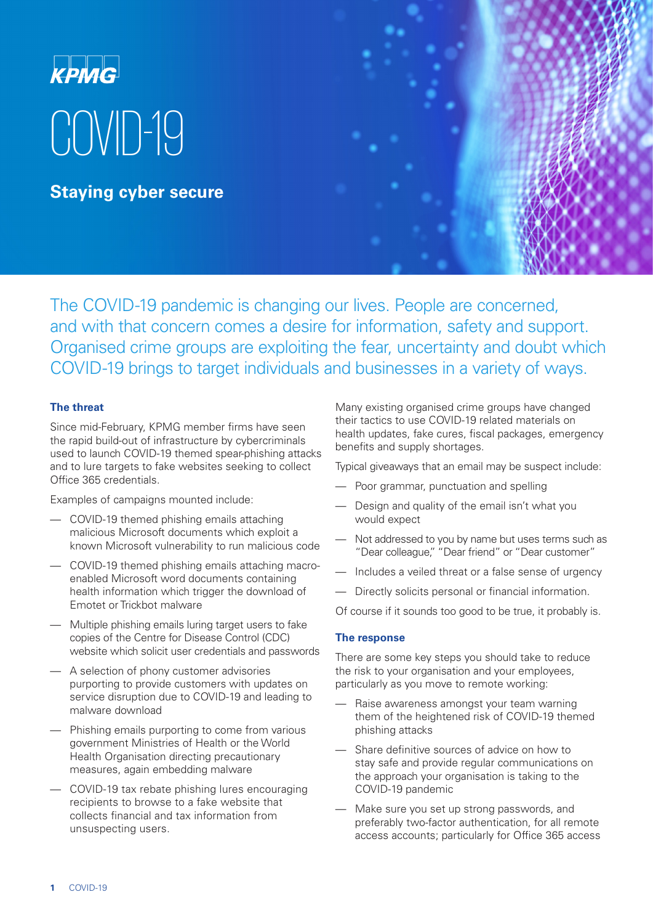# **KPMG** COVID-19

**Staying cyber secure**

The COVID-19 pandemic is changing our lives. People are concerned, and with that concern comes a desire for information, safety and support. Organised crime groups are exploiting the fear, uncertainty and doubt which COVID-19 brings to target individuals and businesses in a variety of ways.

# **The threat**

Since mid-February, KPMG member firms have seen the rapid build-out of infrastructure by cybercriminals used to launch COVID-19 themed spear-phishing attacks and to lure targets to fake websites seeking to collect Office 365 credentials.

Examples of campaigns mounted include:

- COVID-19 themed phishing emails attaching malicious Microsoft documents which exploit a known Microsoft vulnerability to run malicious code
- COVID-19 themed phishing emails attaching macroenabled Microsoft word documents containing health information which trigger the download of Emotet or Trickbot malware
- Multiple phishing emails luring target users to fake copies of the Centre for Disease Control (CDC) website which solicit user credentials and passwords
- A selection of phony customer advisories purporting to provide customers with updates on service disruption due to COVID-19 and leading to malware download
- Phishing emails purporting to come from various government Ministries of Health or the World Health Organisation directing precautionary measures, again embedding malware
- COVID-19 tax rebate phishing lures encouraging recipients to browse to a fake website that collects financial and tax information from unsuspecting users.

Many existing organised crime groups have changed their tactics to use COVID-19 related materials on health updates, fake cures, fiscal packages, emergency benefits and supply shortages.

Typical giveaways that an email may be suspect include:

- Poor grammar, punctuation and spelling
- Design and quality of the email isn't what you would expect
- Not addressed to you by name but uses terms such as "Dear colleague," "Dear friend" or "Dear customer"
- Includes a veiled threat or a false sense of urgency
- Directly solicits personal or financial information.

Of course if it sounds too good to be true, it probably is.

### **The response**

There are some key steps you should take to reduce the risk to your organisation and your employees, particularly as you move to remote working:

- Raise awareness amongst your team warning them of the heightened risk of COVID-19 themed phishing attacks
- Share definitive sources of advice on how to stay safe and provide regular communications on the approach your organisation is taking to the COVID-19 pandemic
- Make sure you set up strong passwords, and preferably two-factor authentication, for all remote access accounts; particularly for Office 365 access